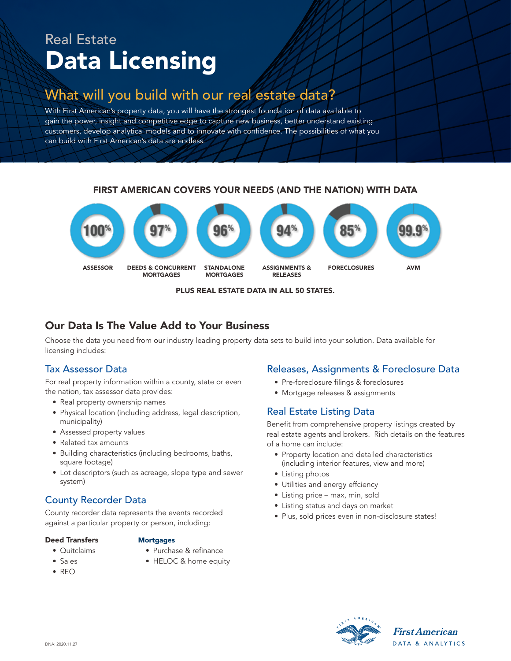# Real Estate Data Licensing

# What will you build with our real estate data?

With First American's property data, you will have the strongest foundation of data available to gain the power, insight and competitive edge to capture new business, better understand existing customers, develop analytical models and to innovate with confidence. The possibilities of what you can build with First American's data are endless.

### FIRST AMERICAN COVERS YOUR NEEDS (AND THE NATION) WITH DATA



#### PLUS REAL ESTATE DATA IN ALL 50 STATES.

# Our Data Is The Value Add to Your Business

Choose the data you need from our industry leading property data sets to build into your solution. Data available for licensing includes:

# Tax Assessor Data

For real property information within a county, state or even the nation, tax assessor data provides:

- Real property ownership names
- Physical location (including address, legal description, municipality)
- Assessed property values
- Related tax amounts
- Building characteristics (including bedrooms, baths, square footage)
- Lot descriptors (such as acreage, slope type and sewer system)

# County Recorder Data

County recorder data represents the events recorded against a particular property or person, including:

#### Deed Transfers

#### **Mortgages**

- Quitclaims
- Purchase & refinance
- Sales • REO
- HELOC & home equity

#### Releases, Assignments & Foreclosure Data

- Pre-foreclosure filings & foreclosures
- Mortgage releases & assignments

# Real Estate Listing Data

Benefit from comprehensive property listings created by real estate agents and brokers. Rich details on the features of a home can include:

- Property location and detailed characteristics (including interior features, view and more)
- Listing photos
- Utilities and energy effciency
- Listing price max, min, sold
- Listing status and days on market
- Plus, sold prices even in non-disclosure states!